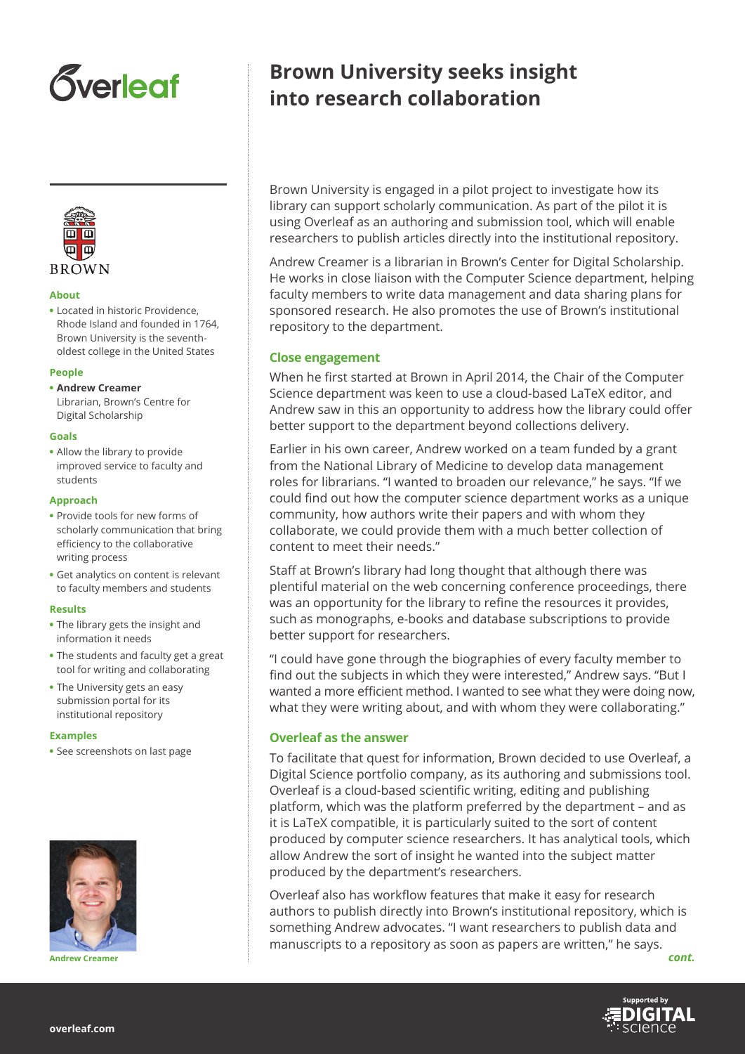# *<u>Sverleaf</u>*



#### **About**

**•** Located in historic Providence, Rhode Island and founded in 1764, Brown University is the seventholdest college in the United States

#### **People**

- **• Andrew Creamer**
- Librarian, Brown's Centre for Digital Scholarship

#### **Goals**

**•** Allow the library to provide improved service to faculty and students

#### **Approach**

- **•** Provide tools for new forms of scholarly communication that bring efficiency to the collaborative writing process
- **•** Get analytics on content is relevant to faculty members and students

#### **Results**

- **•** The library gets the insight and information it needs
- **•** The students and faculty get a great tool for writing and collaborating
- **•** The University gets an easy submission portal for its institutional repository

#### **Examples**

**•** See screenshots on last page



**Andrew Creamer** *cont.*

# **Brown University seeks insight into research collaboration**

Brown University is engaged in a pilot project to investigate how its library can support scholarly communication. As part of the pilot it is using Overleaf as an authoring and submission tool, which will enable researchers to publish articles directly into the institutional repository.

Andrew Creamer is a librarian in Brown's Center for Digital Scholarship. He works in close liaison with the Computer Science department, helping faculty members to write data management and data sharing plans for sponsored research. He also promotes the use of Brown's institutional repository to the department.

### **Close engagement**

When he first started at Brown in April 2014, the Chair of the Computer Science department was keen to use a cloud-based LaTeX editor, and Andrew saw in this an opportunity to address how the library could offer better support to the department beyond collections delivery.

Earlier in his own career, Andrew worked on a team funded by a grant from the National Library of Medicine to develop data management roles for librarians. "I wanted to broaden our relevance," he says. "If we could find out how the computer science department works as a unique community, how authors write their papers and with whom they collaborate, we could provide them with a much better collection of content to meet their needs."

Staff at Brown's library had long thought that although there was plentiful material on the web concerning conference proceedings, there was an opportunity for the library to refine the resources it provides, such as monographs, e-books and database subscriptions to provide better support for researchers.

"I could have gone through the biographies of every faculty member to find out the subjects in which they were interested," Andrew says. "But I wanted a more efficient method. I wanted to see what they were doing now, what they were writing about, and with whom they were collaborating."

## **Overleaf as the answer**

To facilitate that quest for information, Brown decided to use Overleaf, a Digital Science portfolio company, as its authoring and submissions tool. Overleaf is a cloud-based scientific writing, editing and publishing platform, which was the platform preferred by the department – and as it is LaTeX compatible, it is particularly suited to the sort of content produced by computer science researchers. It has analytical tools, which allow Andrew the sort of insight he wanted into the subject matter produced by the department's researchers.

Overleaf also has workflow features that make it easy for research authors to publish directly into Brown's institutional repository, which is something Andrew advocates. "I want researchers to publish data and manuscripts to a repository as soon as papers are written," he says.